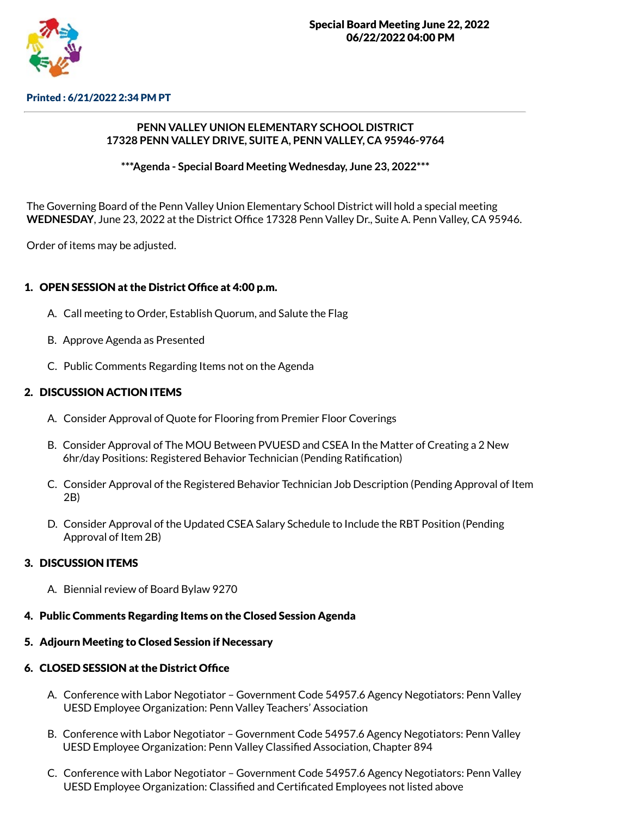

Printed : 6/21/2022 2:34 PM PT

### **PENN VALLEY UNION ELEMENTARY SCHOOL DISTRICT 17328 PENN VALLEY DRIVE, SUITE A, PENN VALLEY, CA 95946-9764**

**\*\*\*Agenda - Special Board Meeting Wednesday, June 23, 2022\*\*\***

The Governing Board of the Penn Valley Union Elementary School District will hold a special meeting **WEDNESDAY**, June 23, 2022 at the District Office 17328 Penn Valley Dr., Suite A. Penn Valley, CA 95946.

Order of items may be adjusted.

## 1. OPEN SESSION at the District Office at 4:00 p.m.

- A. Call meeting to Order, Establish Quorum, and Salute the Flag
- B. Approve Agenda as Presented
- C. Public Comments Regarding Items not on the Agenda

### 2. DISCUSSION ACTION ITEMS

- A. Consider Approval of Quote for Flooring from Premier Floor Coverings
- B. Consider Approval of The MOU Between PVUESD and CSEA In the Matter of Creating a 2 New 6hr/day Positions: Registered Behavior Technician (Pending Ratification)
- C. Consider Approval of the Registered Behavior Technician Job Description (Pending Approval of Item 2B)
- D. Consider Approval of the Updated CSEA Salary Schedule to Include the RBT Position (Pending Approval of Item 2B)

### 3. DISCUSSION ITEMS

- A. Biennial review of Board Bylaw 9270
- 4. Public Comments Regarding Items on the Closed Session Agenda
- 5. Adjourn Meeting to Closed Session if Necessary

### 6. CLOSED SESSION at the District Office

- A. Conference with Labor Negotiator Government Code 54957.6 Agency Negotiators: Penn Valley UESD Employee Organization: Penn Valley Teachers' Association
- B. Conference with Labor Negotiator Government Code 54957.6 Agency Negotiators: Penn Valley UESD Employee Organization: Penn Valley Classified Association, Chapter 894
- C. Conference with Labor Negotiator Government Code 54957.6 Agency Negotiators: Penn Valley UESD Employee Organization: Classified and Certificated Employees not listed above